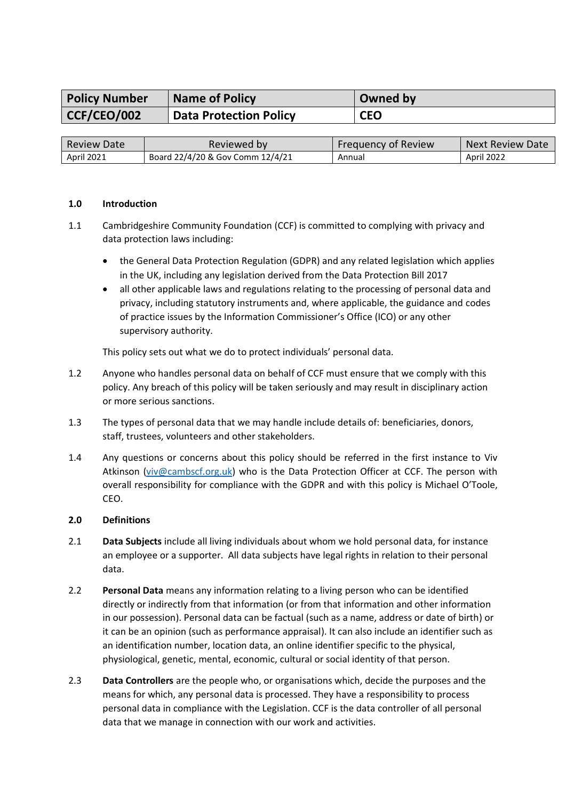| <b>Policy Number</b> | <b>Name of Policy</b>         | Owned by   |
|----------------------|-------------------------------|------------|
| CCF/CEO/002          | <b>Data Protection Policy</b> | <b>CEO</b> |
|                      |                               |            |

| Review Date       | Reviewed by                      | Frequency of Review | Next Review Date  |
|-------------------|----------------------------------|---------------------|-------------------|
| <b>April 2021</b> | Board 22/4/20 & Gov Comm 12/4/21 | Annual              | <b>April 2022</b> |

#### **1.0 Introduction**

- 1.1 Cambridgeshire Community Foundation (CCF) is committed to complying with privacy and data protection laws including:
	- the General Data Protection Regulation (GDPR) and any related legislation which applies in the UK, including any legislation derived from the Data Protection Bill 2017
	- all other applicable laws and regulations relating to the processing of personal data and privacy, including statutory instruments and, where applicable, the guidance and codes of practice issues by the Information Commissioner's Office (ICO) or any other supervisory authority.

This policy sets out what we do to protect individuals' personal data.

- 1.2 Anyone who handles personal data on behalf of CCF must ensure that we comply with this policy. Any breach of this policy will be taken seriously and may result in disciplinary action or more serious sanctions.
- 1.3 The types of personal data that we may handle include details of: beneficiaries, donors, staff, trustees, volunteers and other stakeholders.
- 1.4 Any questions or concerns about this policy should be referred in the first instance to Viv Atkinson [\(viv@cambscf.org.uk\)](mailto:viv@cambscf.org.uk) who is the Data Protection Officer at CCF. The person with overall responsibility for compliance with the GDPR and with this policy is Michael O'Toole, CEO.

#### **2.0 Definitions**

- 2.1 **Data Subjects** include all living individuals about whom we hold personal data, for instance an employee or a supporter. All data subjects have legal rights in relation to their personal data.
- 2.2 **Personal Data** means any information relating to a living person who can be identified directly or indirectly from that information (or from that information and other information in our possession). Personal data can be factual (such as a name, address or date of birth) or it can be an opinion (such as performance appraisal). It can also include an identifier such as an identification number, location data, an online identifier specific to the physical, physiological, genetic, mental, economic, cultural or social identity of that person.
- 2.3 **Data Controllers** are the people who, or organisations which, decide the purposes and the means for which, any personal data is processed. They have a responsibility to process personal data in compliance with the Legislation. CCF is the data controller of all personal data that we manage in connection with our work and activities.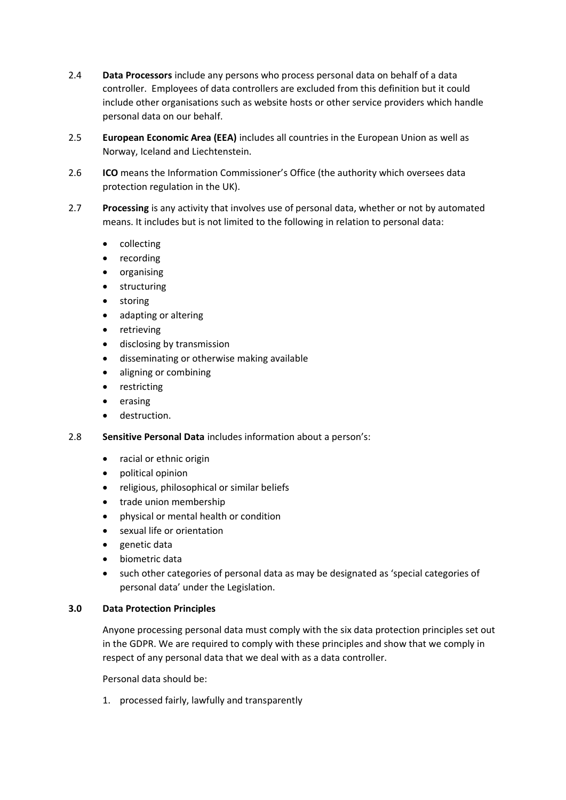- 2.4 **Data Processors** include any persons who process personal data on behalf of a data controller. Employees of data controllers are excluded from this definition but it could include other organisations such as website hosts or other service providers which handle personal data on our behalf.
- 2.5 **European Economic Area (EEA)** includes all countries in the European Union as well as Norway, Iceland and Liechtenstein.
- 2.6 **ICO** means the Information Commissioner's Office (the authority which oversees data protection regulation in the UK).
- 2.7 **Processing** is any activity that involves use of personal data, whether or not by automated means. It includes but is not limited to the following in relation to personal data:
	- collecting
	- recording
	- organising
	- structuring
	- **storing**
	- adapting or altering
	- **retrieving**
	- disclosing by transmission
	- disseminating or otherwise making available
	- aligning or combining
	- restricting
	- erasing
	- destruction.
- 2.8 **Sensitive Personal Data** includes information about a person's:
	- racial or ethnic origin
	- political opinion
	- religious, philosophical or similar beliefs
	- trade union membership
	- physical or mental health or condition
	- sexual life or orientation
	- genetic data
	- biometric data
	- such other categories of personal data as may be designated as 'special categories of personal data' under the Legislation.

#### **3.0 Data Protection Principles**

Anyone processing personal data must comply with the six data protection principles set out in the GDPR. We are required to comply with these principles and show that we comply in respect of any personal data that we deal with as a data controller.

Personal data should be:

1. processed fairly, lawfully and transparently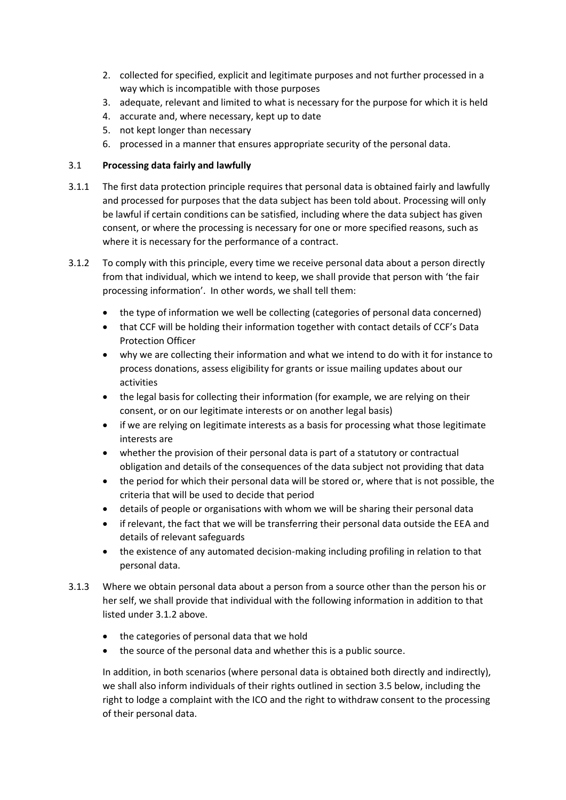- 2. collected for specified, explicit and legitimate purposes and not further processed in a way which is incompatible with those purposes
- 3. adequate, relevant and limited to what is necessary for the purpose for which it is held
- 4. accurate and, where necessary, kept up to date
- 5. not kept longer than necessary
- 6. processed in a manner that ensures appropriate security of the personal data.

# 3.1 **Processing data fairly and lawfully**

- 3.1.1 The first data protection principle requires that personal data is obtained fairly and lawfully and processed for purposes that the data subject has been told about. Processing will only be lawful if certain conditions can be satisfied, including where the data subject has given consent, or where the processing is necessary for one or more specified reasons, such as where it is necessary for the performance of a contract.
- 3.1.2 To comply with this principle, every time we receive personal data about a person directly from that individual, which we intend to keep, we shall provide that person with 'the fair processing information'. In other words, we shall tell them:
	- the type of information we well be collecting (categories of personal data concerned)
	- that CCF will be holding their information together with contact details of CCF's Data Protection Officer
	- why we are collecting their information and what we intend to do with it for instance to process donations, assess eligibility for grants or issue mailing updates about our activities
	- the legal basis for collecting their information (for example, we are relying on their consent, or on our legitimate interests or on another legal basis)
	- if we are relying on legitimate interests as a basis for processing what those legitimate interests are
	- whether the provision of their personal data is part of a statutory or contractual obligation and details of the consequences of the data subject not providing that data
	- the period for which their personal data will be stored or, where that is not possible, the criteria that will be used to decide that period
	- details of people or organisations with whom we will be sharing their personal data
	- if relevant, the fact that we will be transferring their personal data outside the EEA and details of relevant safeguards
	- the existence of any automated decision-making including profiling in relation to that personal data.
- 3.1.3 Where we obtain personal data about a person from a source other than the person his or her self, we shall provide that individual with the following information in addition to that listed under 3.1.2 above.
	- the categories of personal data that we hold
	- the source of the personal data and whether this is a public source.

In addition, in both scenarios (where personal data is obtained both directly and indirectly), we shall also inform individuals of their rights outlined in section 3.5 below, including the right to lodge a complaint with the ICO and the right to withdraw consent to the processing of their personal data.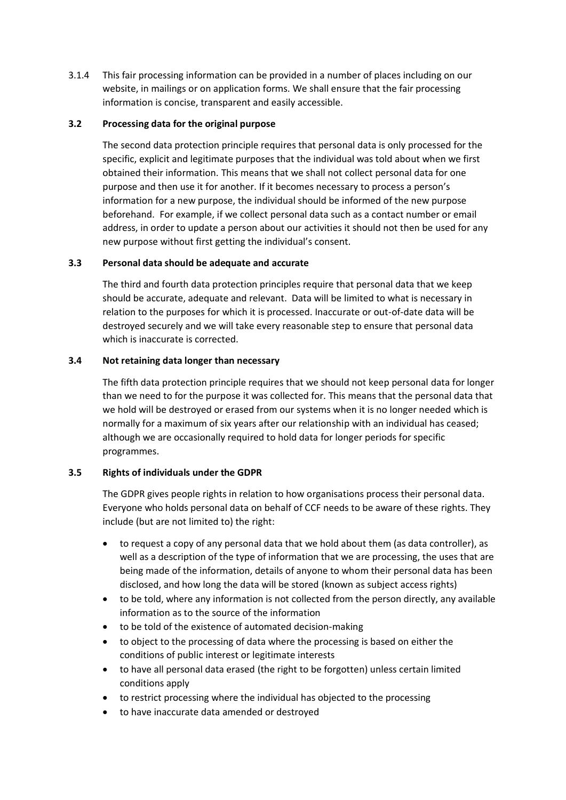3.1.4 This fair processing information can be provided in a number of places including on our website, in mailings or on application forms. We shall ensure that the fair processing information is concise, transparent and easily accessible.

#### **3.2 Processing data for the original purpose**

The second data protection principle requires that personal data is only processed for the specific, explicit and legitimate purposes that the individual was told about when we first obtained their information. This means that we shall not collect personal data for one purpose and then use it for another. If it becomes necessary to process a person's information for a new purpose, the individual should be informed of the new purpose beforehand. For example, if we collect personal data such as a contact number or email address, in order to update a person about our activities it should not then be used for any new purpose without first getting the individual's consent.

## **3.3 Personal data should be adequate and accurate**

The third and fourth data protection principles require that personal data that we keep should be accurate, adequate and relevant. Data will be limited to what is necessary in relation to the purposes for which it is processed. Inaccurate or out-of-date data will be destroyed securely and we will take every reasonable step to ensure that personal data which is inaccurate is corrected.

## **3.4 Not retaining data longer than necessary**

The fifth data protection principle requires that we should not keep personal data for longer than we need to for the purpose it was collected for. This means that the personal data that we hold will be destroyed or erased from our systems when it is no longer needed which is normally for a maximum of six years after our relationship with an individual has ceased; although we are occasionally required to hold data for longer periods for specific programmes.

# **3.5 Rights of individuals under the GDPR**

The GDPR gives people rights in relation to how organisations process their personal data. Everyone who holds personal data on behalf of CCF needs to be aware of these rights. They include (but are not limited to) the right:

- to request a copy of any personal data that we hold about them (as data controller), as well as a description of the type of information that we are processing, the uses that are being made of the information, details of anyone to whom their personal data has been disclosed, and how long the data will be stored (known as subject access rights)
- to be told, where any information is not collected from the person directly, any available information as to the source of the information
- to be told of the existence of automated decision-making
- to object to the processing of data where the processing is based on either the conditions of public interest or legitimate interests
- to have all personal data erased (the right to be forgotten) unless certain limited conditions apply
- to restrict processing where the individual has objected to the processing
- to have inaccurate data amended or destroyed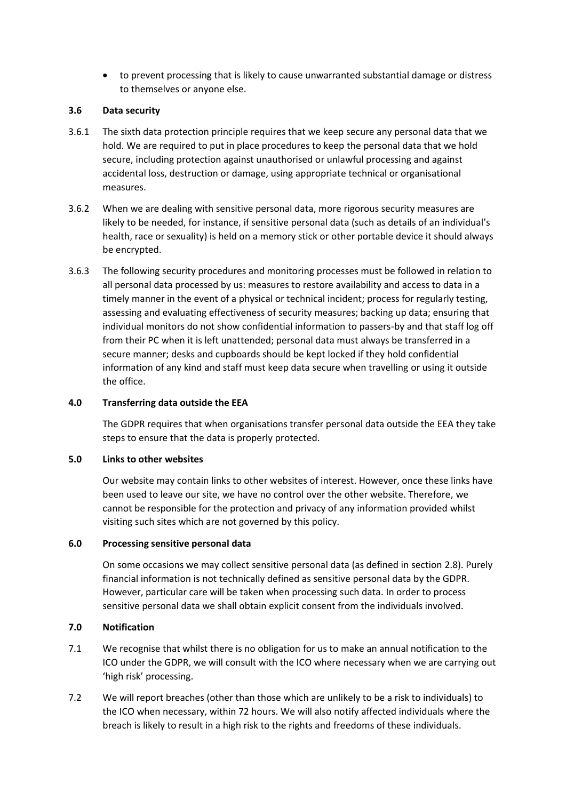• to prevent processing that is likely to cause unwarranted substantial damage or distress to themselves or anyone else.

### **3.6 Data security**

- 3.6.1 The sixth data protection principle requires that we keep secure any personal data that we hold. We are required to put in place procedures to keep the personal data that we hold secure, including protection against unauthorised or unlawful processing and against accidental loss, destruction or damage, using appropriate technical or organisational measures.
- 3.6.2 When we are dealing with sensitive personal data, more rigorous security measures are likely to be needed, for instance, if sensitive personal data (such as details of an individual's health, race or sexuality) is held on a memory stick or other portable device it should always be encrypted.
- 3.6.3 The following security procedures and monitoring processes must be followed in relation to all personal data processed by us: measures to restore availability and access to data in a timely manner in the event of a physical or technical incident; process for regularly testing, assessing and evaluating effectiveness of security measures; backing up data; ensuring that individual monitors do not show confidential information to passers-by and that staff log off from their PC when it is left unattended; personal data must always be transferred in a secure manner; desks and cupboards should be kept locked if they hold confidential information of any kind and staff must keep data secure when travelling or using it outside the office.

# **4.0 Transferring data outside the EEA**

The GDPR requires that when organisations transfer personal data outside the EEA they take steps to ensure that the data is properly protected.

#### **5.0 Links to other websites**

Our website may contain links to other websites of interest. However, once these links have been used to leave our site, we have no control over the other website. Therefore, we cannot be responsible for the protection and privacy of any information provided whilst visiting such sites which are not governed by this policy.

#### **6.0 Processing sensitive personal data**

On some occasions we may collect sensitive personal data (as defined in section 2.8). Purely financial information is not technically defined as sensitive personal data by the GDPR. However, particular care will be taken when processing such data. In order to process sensitive personal data we shall obtain explicit consent from the individuals involved.

# **7.0 Notification**

- 7.1 We recognise that whilst there is no obligation for us to make an annual notification to the ICO under the GDPR, we will consult with the ICO where necessary when we are carrying out 'high risk' processing.
- 7.2 We will report breaches (other than those which are unlikely to be a risk to individuals) to the ICO when necessary, within 72 hours. We will also notify affected individuals where the breach is likely to result in a high risk to the rights and freedoms of these individuals.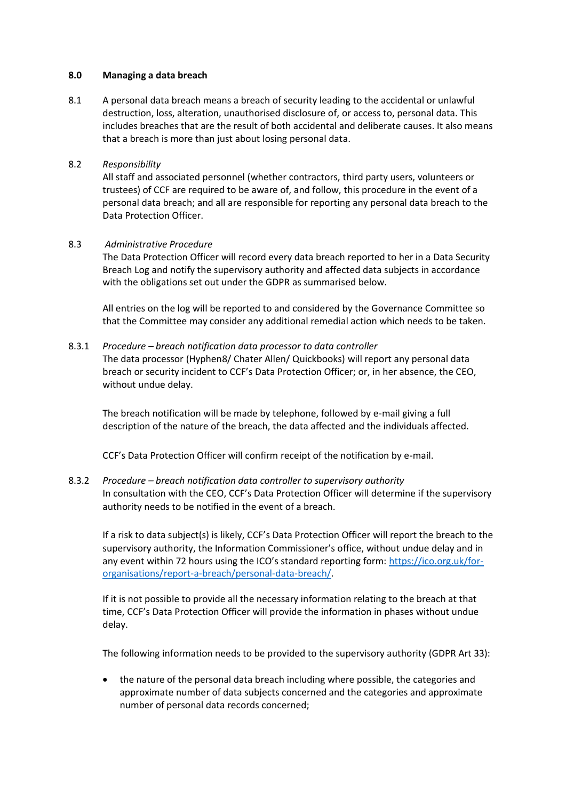#### **8.0 Managing a data breach**

8.1 A personal data breach means a breach of security leading to the accidental or unlawful destruction, loss, alteration, unauthorised disclosure of, or access to, personal data. This includes breaches that are the result of both accidental and deliberate causes. It also means that a breach is more than just about losing personal data.

#### 8.2 *Responsibility*

All staff and associated personnel (whether contractors, third party users, volunteers or trustees) of CCF are required to be aware of, and follow, this procedure in the event of a personal data breach; and all are responsible for reporting any personal data breach to the Data Protection Officer.

## 8.3 *Administrative Procedure*

The Data Protection Officer will record every data breach reported to her in a Data Security Breach Log and notify the supervisory authority and affected data subjects in accordance with the obligations set out under the GDPR as summarised below.

All entries on the log will be reported to and considered by the Governance Committee so that the Committee may consider any additional remedial action which needs to be taken.

## 8.3.1 *Procedure – breach notification data processor to data controller*

The data processor (Hyphen8/ Chater Allen/ Quickbooks) will report any personal data breach or security incident to CCF's Data Protection Officer; or, in her absence, the CEO, without undue delay.

The breach notification will be made by telephone, followed by e-mail giving a full description of the nature of the breach, the data affected and the individuals affected.

CCF's Data Protection Officer will confirm receipt of the notification by e-mail.

### 8.3.2 *Procedure – breach notification data controller to supervisory authority* In consultation with the CEO, CCF's Data Protection Officer will determine if the supervisory authority needs to be notified in the event of a breach.

If a risk to data subject(s) is likely, CCF's Data Protection Officer will report the breach to the supervisory authority, the Information Commissioner's office, without undue delay and in any event within 72 hours using the ICO's standard reporting form: [https://ico.org.uk/for](https://ico.org.uk/for-organisations/report-a-breach/personal-data-breach/)[organisations/report-a-breach/personal-data-breach/.](https://ico.org.uk/for-organisations/report-a-breach/personal-data-breach/)

If it is not possible to provide all the necessary information relating to the breach at that time, CCF's Data Protection Officer will provide the information in phases without undue delay.

The following information needs to be provided to the supervisory authority (GDPR Art 33):

• the nature of the personal data breach including where possible, the categories and approximate number of data subjects concerned and the categories and approximate number of personal data records concerned;